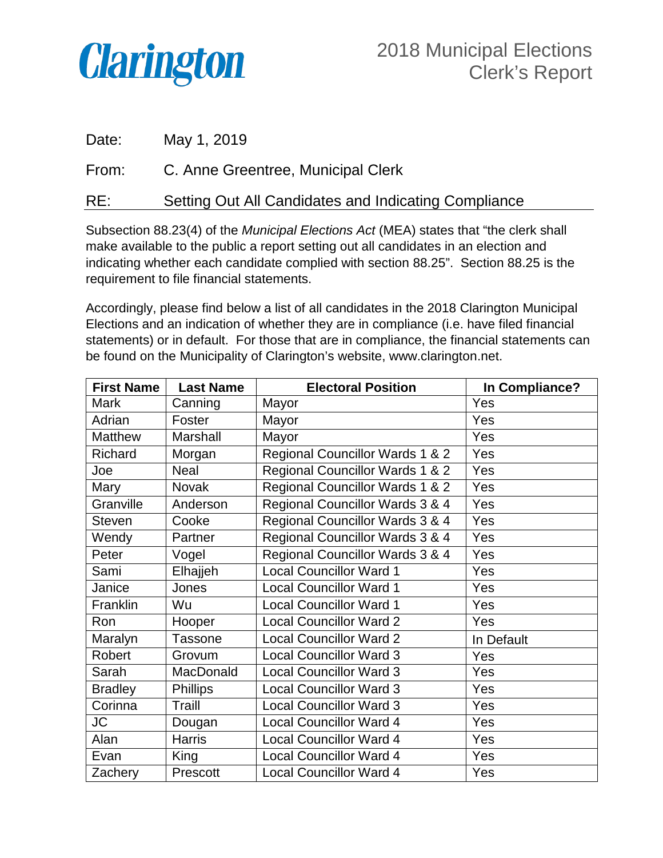

| Date: | May 1, 2019                                          |
|-------|------------------------------------------------------|
| From: | C. Anne Greentree, Municipal Clerk                   |
| RE:   | Setting Out All Candidates and Indicating Compliance |

Subsection 88.23(4) of the *Municipal Elections Act* (MEA) states that "the clerk shall make available to the public a report setting out all candidates in an election and indicating whether each candidate complied with section 88.25". Section 88.25 is the requirement to file financial statements.

Accordingly, please find below a list of all candidates in the 2018 Clarington Municipal Elections and an indication of whether they are in compliance (i.e. have filed financial statements) or in default. For those that are in compliance, the financial statements can be found on the Municipality of Clarington's website, www.clarington.net.

| <b>First Name</b> | <b>Last Name</b> | <b>Electoral Position</b>       | In Compliance? |
|-------------------|------------------|---------------------------------|----------------|
| Mark              | Canning          | Mayor                           | Yes            |
| Adrian            | Foster           | Mayor                           | Yes            |
| <b>Matthew</b>    | Marshall         | Mayor                           | Yes            |
| Richard           | Morgan           | Regional Councillor Wards 1 & 2 | Yes            |
| Joe               | Neal             | Regional Councillor Wards 1 & 2 | Yes            |
| Mary              | Novak            | Regional Councillor Wards 1 & 2 | Yes            |
| Granville         | Anderson         | Regional Councillor Wards 3 & 4 | Yes            |
| <b>Steven</b>     | Cooke            | Regional Councillor Wards 3 & 4 | Yes            |
| Wendy             | Partner          | Regional Councillor Wards 3 & 4 | Yes            |
| Peter             | Vogel            | Regional Councillor Wards 3 & 4 | Yes            |
| Sami              | Elhajjeh         | <b>Local Councillor Ward 1</b>  | Yes            |
| Janice            | Jones            | <b>Local Councillor Ward 1</b>  | Yes            |
| Franklin          | Wu               | <b>Local Councillor Ward 1</b>  | Yes            |
| Ron               | Hooper           | <b>Local Councillor Ward 2</b>  | Yes            |
| Maralyn           | <b>Tassone</b>   | <b>Local Councillor Ward 2</b>  | In Default     |
| Robert            | Grovum           | <b>Local Councillor Ward 3</b>  | Yes            |
| Sarah             | MacDonald        | <b>Local Councillor Ward 3</b>  | Yes            |
| <b>Bradley</b>    | <b>Phillips</b>  | <b>Local Councillor Ward 3</b>  | Yes            |
| Corinna           | Traill           | <b>Local Councillor Ward 3</b>  | Yes            |
| JC                | Dougan           | <b>Local Councillor Ward 4</b>  | Yes            |
| Alan              | <b>Harris</b>    | <b>Local Councillor Ward 4</b>  | Yes            |
| Evan              | King             | <b>Local Councillor Ward 4</b>  | Yes            |
| Zachery           | Prescott         | <b>Local Councillor Ward 4</b>  | Yes            |